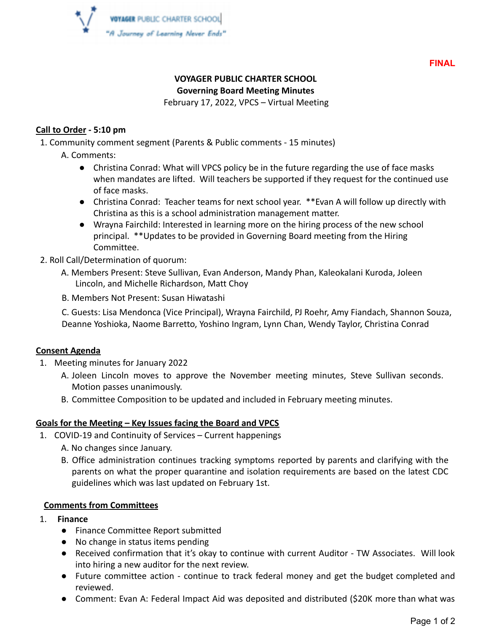

**FINAL**

# **VOYAGER PUBLIC CHARTER SCHOOL**

**Governing Board Meeting Minutes**

February 17, 2022, VPCS – Virtual Meeting

#### **Call to Order - 5:10 pm**

1. Community comment segment (Parents & Public comments - 15 minutes)

- A. Comments:
	- Christina Conrad: What will VPCS policy be in the future regarding the use of face masks when mandates are lifted. Will teachers be supported if they request for the continued use of face masks.
	- Christina Conrad: Teacher teams for next school year. \*\*Evan A will follow up directly with Christina as this is a school administration management matter.
	- Wrayna Fairchild: Interested in learning more on the hiring process of the new school principal. \*\*Updates to be provided in Governing Board meeting from the Hiring Committee.
- 2. Roll Call/Determination of quorum:
	- A. Members Present: Steve Sullivan, Evan Anderson, Mandy Phan, Kaleokalani Kuroda, Joleen Lincoln, and Michelle Richardson, Matt Choy
	- B. Members Not Present: Susan Hiwatashi

C. Guests: Lisa Mendonca (Vice Principal), Wrayna Fairchild, PJ Roehr, Amy Fiandach, Shannon Souza, Deanne Yoshioka, Naome Barretto, Yoshino Ingram, Lynn Chan, Wendy Taylor, Christina Conrad

### **Consent Agenda**

- 1. Meeting minutes for January 2022
	- A. Joleen Lincoln moves to approve the November meeting minutes, Steve Sullivan seconds. Motion passes unanimously.
	- B. Committee Composition to be updated and included in February meeting minutes.

### **Goals for the Meeting – Key Issues facing the Board and VPCS**

- 1. COVID-19 and Continuity of Services Current happenings
	- A. No changes since January.
	- B. Office administration continues tracking symptoms reported by parents and clarifying with the parents on what the proper quarantine and isolation requirements are based on the latest CDC guidelines which was last updated on February 1st.

#### **Comments from Committees**

- 1. **Finance**
	- Finance Committee Report submitted
	- No change in status items pending
	- Received confirmation that it's okay to continue with current Auditor TW Associates. Will look into hiring a new auditor for the next review.
	- Future committee action continue to track federal money and get the budget completed and reviewed.
	- Comment: Evan A: Federal Impact Aid was deposited and distributed (\$20K more than what was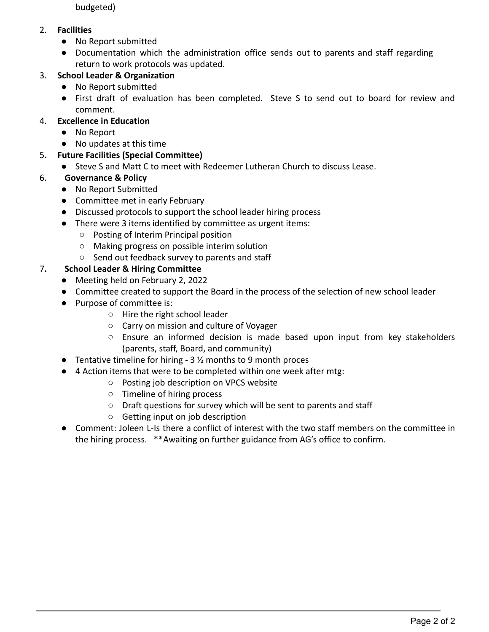budgeted)

### 2. **Facilities**

- No Report submitted
- Documentation which the administration office sends out to parents and staff regarding return to work protocols was updated.

## 3. **School Leader & Organization**

- No Report submitted
- First draft of evaluation has been completed. Steve S to send out to board for review and comment.

## 4. **Excellence in Education**

- No Report
- No updates at this time

## 5**. Future Facilities (Special Committee)**

● Steve S and Matt C to meet with Redeemer Lutheran Church to discuss Lease.

## 6. **Governance & Policy**

- No Report Submitted
- Committee met in early February
- Discussed protocols to support the school leader hiring process
- There were 3 items identified by committee as urgent items:
	- Posting of Interim Principal position
	- Making progress on possible interim solution
	- Send out feedback survey to parents and staff

## 7**. School Leader & Hiring Committee**

- Meeting held on February 2, 2022
- Committee created to support the Board in the process of the selection of new school leader
- Purpose of committee is:
	- Hire the right school leader
	- Carry on mission and culture of Voyager
	- $\circ$  Ensure an informed decision is made based upon input from key stakeholders (parents, staff, Board, and community)
- **•** Tentative timeline for hiring  $-3\frac{1}{2}$  months to 9 month proces
- 4 Action items that were to be completed within one week after mtg:
	- Posting job description on VPCS website
	- Timeline of hiring process
	- Draft questions for survey which will be sent to parents and staff
	- Getting input on job description
- Comment: Joleen L-Is there a conflict of interest with the two staff members on the committee in the hiring process. \*\*Awaiting on further guidance from AG's office to confirm.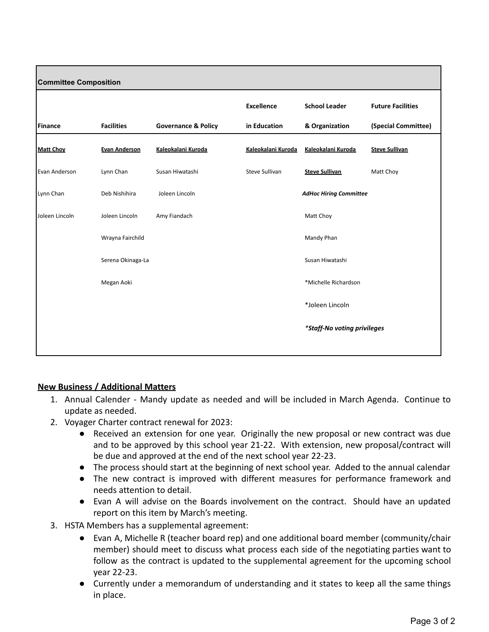| <b>Committee Composition</b> |                      |                                |                               |                             |                          |
|------------------------------|----------------------|--------------------------------|-------------------------------|-----------------------------|--------------------------|
|                              |                      |                                | <b>Excellence</b>             | <b>School Leader</b>        | <b>Future Facilities</b> |
| <b>Finance</b>               | <b>Facilities</b>    | <b>Governance &amp; Policy</b> | in Education                  | & Organization              | (Special Committee)      |
| <b>Matt Choy</b>             | <b>Evan Anderson</b> | Kaleokalani Kuroda             | Kaleokalani Kuroda            | Kaleokalani Kuroda          | <b>Steve Sullivan</b>    |
| Evan Anderson                | Lynn Chan            | Susan Hiwatashi                | Steve Sullivan                | <b>Steve Sullivan</b>       | Matt Choy                |
| Lynn Chan                    | Deb Nishihira        | Joleen Lincoln                 | <b>AdHoc Hiring Committee</b> |                             |                          |
| Joleen Lincoln               | Joleen Lincoln       | Amy Fiandach                   |                               | Matt Choy                   |                          |
|                              | Wrayna Fairchild     |                                |                               | Mandy Phan                  |                          |
|                              | Serena Okinaga-La    |                                |                               | Susan Hiwatashi             |                          |
|                              | Megan Aoki           |                                |                               | *Michelle Richardson        |                          |
|                              |                      |                                |                               | *Joleen Lincoln             |                          |
|                              |                      |                                |                               | *Staff-No voting privileges |                          |
|                              |                      |                                |                               |                             |                          |

### **New Business / Additional Matters**

- 1. Annual Calender Mandy update as needed and will be included in March Agenda. Continue to update as needed.
- 2. Voyager Charter contract renewal for 2023:
	- Received an extension for one year. Originally the new proposal or new contract was due and to be approved by this school year 21-22. With extension, new proposal/contract will be due and approved at the end of the next school year 22-23.
	- The process should start at the beginning of next school year. Added to the annual calendar
	- The new contract is improved with different measures for performance framework and needs attention to detail.
	- Evan A will advise on the Boards involvement on the contract. Should have an updated report on this item by March's meeting.
- 3. HSTA Members has a supplemental agreement:
	- Evan A, Michelle R (teacher board rep) and one additional board member (community/chair member) should meet to discuss what process each side of the negotiating parties want to follow as the contract is updated to the supplemental agreement for the upcoming school year 22-23.
	- Currently under a memorandum of understanding and it states to keep all the same things in place.